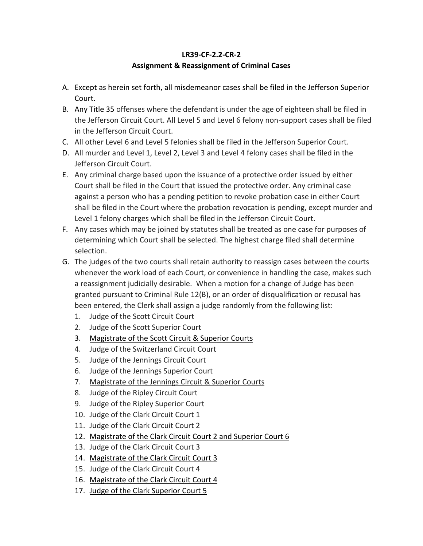## **LR39-CF-2.2-CR-2 Assignment & Reassignment of Criminal Cases**

- A. Except as herein set forth, all misdemeanor cases shall be filed in the Jefferson Superior Court.
- B. Any Title 35 offenses where the defendant is under the age of eighteen shall be filed in the Jefferson Circuit Court. All Level 5 and Level 6 felony non-support cases shall be filed in the Jefferson Circuit Court.
- C. All other Level 6 and Level 5 felonies shall be filed in the Jefferson Superior Court.
- D. All murder and Level 1, Level 2, Level 3 and Level 4 felony cases shall be filed in the Jefferson Circuit Court.
- E. Any criminal charge based upon the issuance of a protective order issued by either Court shall be filed in the Court that issued the protective order. Any criminal case against a person who has a pending petition to revoke probation case in either Court shall be filed in the Court where the probation revocation is pending, except murder and Level 1 felony charges which shall be filed in the Jefferson Circuit Court.
- F. Any cases which may be joined by statutes shall be treated as one case for purposes of determining which Court shall be selected. The highest charge filed shall determine selection.
- G. The judges of the two courts shall retain authority to reassign cases between the courts whenever the work load of each Court, or convenience in handling the case, makes such a reassignment judicially desirable. When a motion for a change of Judge has been granted pursuant to Criminal Rule 12(B), or an order of disqualification or recusal has been entered, the Clerk shall assign a judge randomly from the following list:
	- 1. Judge of the Scott Circuit Court
	- 2. Judge of the Scott Superior Court
	- 3. Magistrate of the Scott Circuit & Superior Courts
	- 4. Judge of the Switzerland Circuit Court
	- 5. Judge of the Jennings Circuit Court
	- 6. Judge of the Jennings Superior Court
	- 7. Magistrate of the Jennings Circuit & Superior Courts
	- 8. Judge of the Ripley Circuit Court
	- 9. Judge of the Ripley Superior Court
	- 10. Judge of the Clark Circuit Court 1
	- 11. Judge of the Clark Circuit Court 2
	- 12. Magistrate of the Clark Circuit Court 2 and Superior Court 6
	- 13. Judge of the Clark Circuit Court 3
	- 14. Magistrate of the Clark Circuit Court 3
	- 15. Judge of the Clark Circuit Court 4
	- 16. Magistrate of the Clark Circuit Court 4
	- 17. Judge of the Clark Superior Court 5